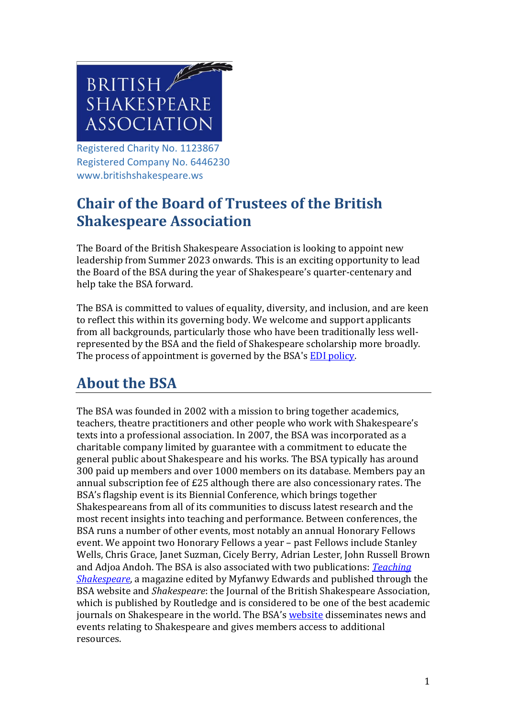

Registered Charity No. 1123867 Registered Company No. 6446230 www.britishshakespeare.ws

# **Chair of the Board of Trustees of the British Shakespeare Association**

The Board of the British Shakespeare Association is looking to appoint new leadership from Summer 2023 onwards. This is an exciting opportunity to lead the Board of the BSA during the year of Shakespeare's quarter-centenary and help take the BSA forward.

The BSA is committed to values of equality, diversity, and inclusion, and are keen to reflect this within its governing body. We welcome and support applicants from all backgrounds, particularly those who have been traditionally less wellrepresented by the BSA and the field of Shakespeare scholarship more broadly. The process of appointment is governed by the BSA's [EDI policy.](https://www.britishshakespeare.ws/wp-content/uploads/2021/10/BSA-Equality-Statement-October-2020.pdf)

# **About the BSA**

The BSA was founded in 2002 with a mission to bring together academics, teachers, theatre practitioners and other people who work with Shakespeare's texts into a professional association. In 2007, the BSA was incorporated as a charitable company limited by guarantee with a commitment to educate the general public about Shakespeare and his works. The BSA typically has around 300 paid up members and over 1000 members on its database. Members pay an annual subscription fee of £25 although there are also concessionary rates. The BSA's flagship event is its Biennial Conference, which brings together Shakespeareans from all of its communities to discuss latest research and the most recent insights into teaching and performance. Between conferences, the BSA runs a number of other events, most notably an annual Honorary Fellows event. We appoint two Honorary Fellows a year – past Fellows include Stanley Wells, Chris Grace, Janet Suzman, Cicely Berry, Adrian Lester, John Russell Brown and Adjoa Andoh. The BSA is also associated with two publications: *[Teaching](https://eur02.safelinks.protection.outlook.com/?url=https%3A%2F%2Fwww.britishshakespeare.ws%2Feducation%2Fteaching-shakespeare-magazine%2F&data=05%7C01%7Cfindlaya%40live.lancs.ac.uk%7Cbd879ac1ea644025df9908da3576c789%7C9c9bcd11977a4e9ca9a0bc734090164a%7C0%7C0%7C637881081660833874%7CUnknown%7CTWFpbGZsb3d8eyJWIjoiMC4wLjAwMDAiLCJQIjoiV2luMzIiLCJBTiI6Ik1haWwiLCJXVCI6Mn0%3D%7C2000%7C%7C%7C&sdata=xZLGludCTqgzIGFKP56zas%2F1PUK%2FUoeTZI%2B0Hy6p6us%3D&reserved=0)  [Shakespeare](https://eur02.safelinks.protection.outlook.com/?url=https%3A%2F%2Fwww.britishshakespeare.ws%2Feducation%2Fteaching-shakespeare-magazine%2F&data=05%7C01%7Cfindlaya%40live.lancs.ac.uk%7Cbd879ac1ea644025df9908da3576c789%7C9c9bcd11977a4e9ca9a0bc734090164a%7C0%7C0%7C637881081660833874%7CUnknown%7CTWFpbGZsb3d8eyJWIjoiMC4wLjAwMDAiLCJQIjoiV2luMzIiLCJBTiI6Ik1haWwiLCJXVCI6Mn0%3D%7C2000%7C%7C%7C&sdata=xZLGludCTqgzIGFKP56zas%2F1PUK%2FUoeTZI%2B0Hy6p6us%3D&reserved=0)*, a magazine edited by Myfanwy Edwards and published through the BSA website and *Shakespeare*: the Journal of the British Shakespeare Association, which is published by Routledge and is considered to be one of the best academic journals on Shakespeare in the world. The BSA's [website](http://www.britishshakespeare.ws/) disseminates news and events relating to Shakespeare and gives members access to additional resources.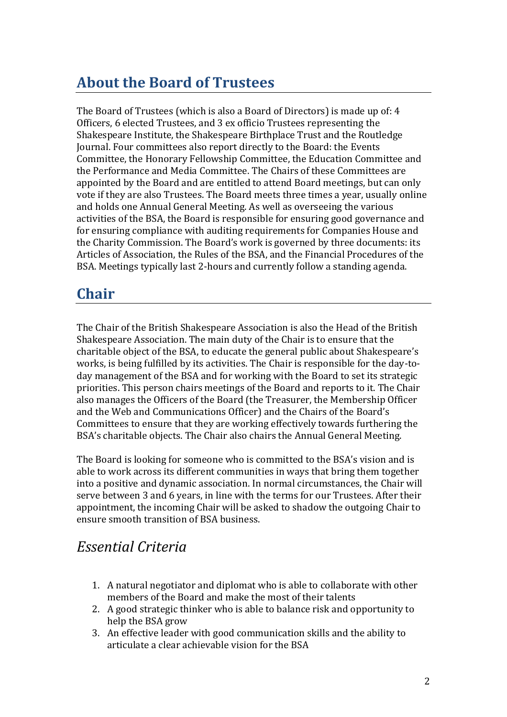# **About the Board of Trustees**

The Board of Trustees (which is also a Board of Directors) is made up of: 4 Officers, 6 elected Trustees, and 3 ex officio Trustees representing the Shakespeare Institute, the Shakespeare Birthplace Trust and the Routledge Journal. Four committees also report directly to the Board: the Events Committee, the Honorary Fellowship Committee, the Education Committee and the Performance and Media Committee. The Chairs of these Committees are appointed by the Board and are entitled to attend Board meetings, but can only vote if they are also Trustees. The Board meets three times a year, usually online and holds one Annual General Meeting. As well as overseeing the various activities of the BSA, the Board is responsible for ensuring good governance and for ensuring compliance with auditing requirements for Companies House and the Charity Commission. The Board's work is governed by three documents: its Articles of Association, the Rules of the BSA, and the Financial Procedures of the BSA. Meetings typically last 2-hours and currently follow a standing agenda.

## **Chair**

The Chair of the British Shakespeare Association is also the Head of the British Shakespeare Association. The main duty of the Chair is to ensure that the charitable object of the BSA, to educate the general public about Shakespeare's works, is being fulfilled by its activities. The Chair is responsible for the day-today management of the BSA and for working with the Board to set its strategic priorities. This person chairs meetings of the Board and reports to it. The Chair also manages the Officers of the Board (the Treasurer, the Membership Officer and the Web and Communications Officer) and the Chairs of the Board's Committees to ensure that they are working effectively towards furthering the BSA's charitable objects. The Chair also chairs the Annual General Meeting.

The Board is looking for someone who is committed to the BSA's vision and is able to work across its different communities in ways that bring them together into a positive and dynamic association. In normal circumstances, the Chair will serve between 3 and 6 years, in line with the terms for our Trustees. After their appointment, the incoming Chair will be asked to shadow the outgoing Chair to ensure smooth transition of BSA business.

#### *Essential Criteria*

- 1. A natural negotiator and diplomat who is able to collaborate with other members of the Board and make the most of their talents
- 2. A good strategic thinker who is able to balance risk and opportunity to help the BSA grow
- 3. An effective leader with good communication skills and the ability to articulate a clear achievable vision for the BSA